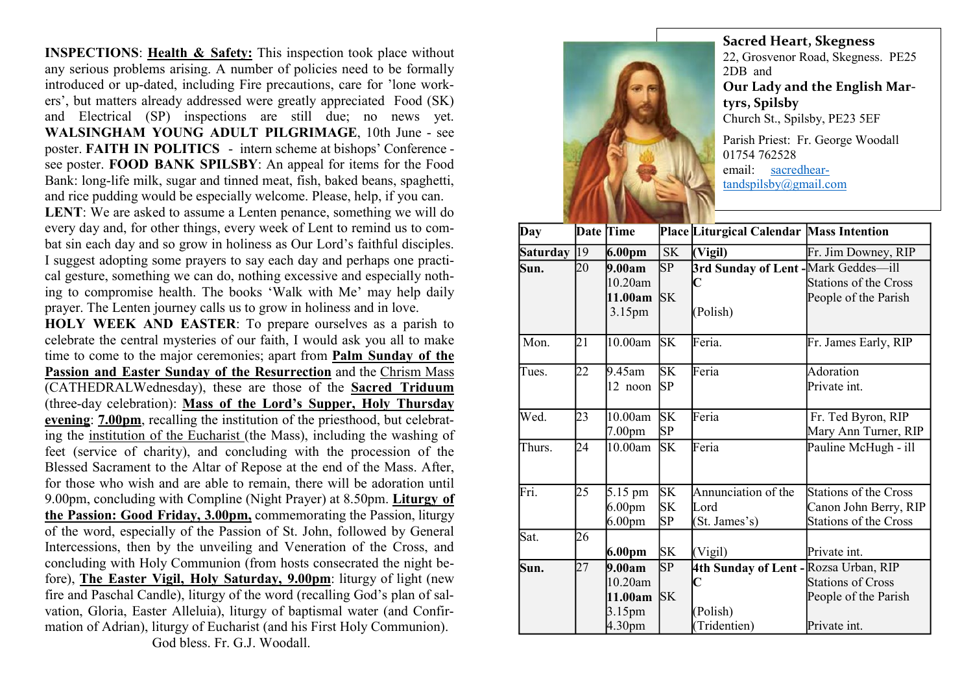INSPECTIONS: Health & Safety: This inspection took place without any serious problems arising. A number of policies need to be formally introduced or up-dated, including Fire precautions, care for 'lone workers', but matters already addressed were greatly appreciated Food (SK) and Electrical (SP) inspections are still due; no news yet. WALSINGHAM YOUNG ADULT PILGRIMAGE, 10th June - see poster. FAITH IN POLITICS - intern scheme at bishops' Conference see poster. FOOD BANK SPILSBY: An appeal for items for the Food Bank: long-life milk, sugar and tinned meat, fish, baked beans, spaghetti, and rice pudding would be especially welcome. Please, help, if you can.

LENT: We are asked to assume a Lenten penance, something we will do every day and, for other things, every week of Lent to remind us to combat sin each day and so grow in holiness as Our Lord's faithful disciples. I suggest adopting some prayers to say each day and perhaps one practical gesture, something we can do, nothing excessive and especially nothing to compromise health. The books 'Walk with Me' may help daily prayer. The Lenten journey calls us to grow in holiness and in love.

HOLY WEEK AND EASTER: To prepare ourselves as a parish to celebrate the central mysteries of our faith, I would ask you all to make time to come to the major ceremonies; apart from Palm Sunday of the Passion and Easter Sunday of the Resurrection and the Chrism Mass (CATHEDRALWednesday), these are those of the Sacred Triduum (three-day celebration): Mass of the Lord's Supper, Holy Thursday evening: 7.00pm, recalling the institution of the priesthood, but celebrating the institution of the Eucharist (the Mass), including the washing of feet (service of charity), and concluding with the procession of the Blessed Sacrament to the Altar of Repose at the end of the Mass. After, for those who wish and are able to remain, there will be adoration until 9.00pm, concluding with Compline (Night Prayer) at 8.50pm. Liturgy of the Passion: Good Friday, 3.00pm, commemorating the Passion, liturgy of the word, especially of the Passion of St. John, followed by General Intercessions, then by the unveiling and Veneration of the Cross, and concluding with Holy Communion (from hosts consecrated the night before), The Easter Vigil, Holy Saturday, 9.00pm: liturgy of light (new fire and Paschal Candle), liturgy of the word (recalling God's plan of salvation, Gloria, Easter Alleluia), liturgy of baptismal water (and Confirmation of Adrian), liturgy of Eucharist (and his First Holy Communion). God bless. Fr. G.J. Woodall.



Sacred Heart, Skegness 22, Grosvenor Road, Skegness. PE25 2DB and Our Lady and the English Martyrs, Spilsby Church St., Spilsby, PE23 5EF Parish Priest: Fr. George Woodall 01754 762528 email: sacredhear-

tandspilsby@gmail.com

Day Date Time Place Liturgical Calendar Mass Intention Saturday 19 6.00pm SK (Vigil) Fr. Jim Downey, RIP Sun. 20 9.00am 10.20am 11.00am SK 3.15pm SP 3rd Sunday of Lent - Mark Geddes—ill  $\mathbf C$ (Polish) Stations of the Cross People of the Parish Tues. 22 9.45am 12 noon SP **SK** Feria Adoration Private int. Wed. 23 10.00am 7.00pm SK SP Feria Fr. Ted Byron, RIP Mary Ann Turner, RIP Thurs. 24 10.00am SK Feria Pauline McHugh - ill Fri. 25 5.15 pm 6.00pm 6.00pm SK SK SP Annunciation of the Lord (St. James's) Stations of the Cross Canon John Berry, RIP Stations of the Cross Sat. 26 6.00pm SK (Vigil) Private int. Sun. 27 9.00am 10.20am 11.00am SK 3.15pm 4.30pm SP 4th Sunday of Lent - Rozsa Urban, RIP  $\mathbf C$ (Polish) (Tridentien) Stations of Cross People of the Parish Private int. Mon. 21 | 10.00am SK Feria. Fr. James Early, RIP